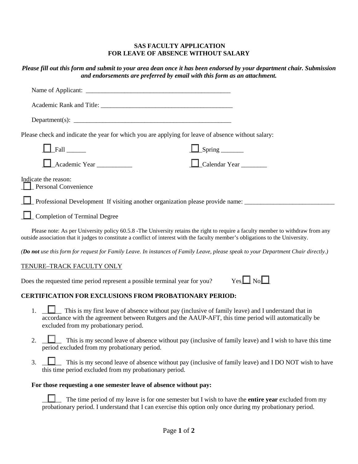#### **SAS FACULTY APPLICATION FOR LEAVE OF ABSENCE WITHOUT SALARY**

# *Please fill out this form and submit to your area dean once it has been endorsed by your department chair. Submission and endorsements are preferred by email with this form as an attachment.*

| Department(s): $\qquad \qquad$                          |                                                                                                    |
|---------------------------------------------------------|----------------------------------------------------------------------------------------------------|
|                                                         | Please check and indicate the year for which you are applying for leave of absence without salary: |
| $\Box$ Fall                                             | $\Box$ Spring $\Box$                                                                               |
| $\Box$ Academic Year                                    | $\Box$ Calendar Year                                                                               |
| Indicate the reason:<br><b>Let Personal Convenience</b> |                                                                                                    |
|                                                         |                                                                                                    |
| Completion of Terminal Degree                           |                                                                                                    |
|                                                         |                                                                                                    |

Please note: As per University policy 60.5.8 -The University retains the right to require a faculty member to withdraw from any outside association that it judges to constitute a conflict of interest with the faculty member's obligations to the University.

*(Do not use this form for request for Family Leave. In instances of Family Leave, please speak to your Department Chair directly.)*

## TENURE–TRACK FACULTY ONLY

Does the requested time period represent a possible terminal year for you?

| - 7 | J C |  |
|-----|-----|--|
|     |     |  |

## **CERTIFICATION FOR EXCLUSIONS FROM PROBATIONARY PERIOD:**

- 1. **Let** This is my first leave of absence without pay (inclusive of family leave) and I understand that in accordance with the agreement between Rutgers and the AAUP-AFT, this time period will automatically be excluded from my probationary period.
- 2.  $\Box$  This is my second leave of absence without pay (inclusive of family leave) and I wish to have this time period excluded from my probationary period.
- 3. <u>\_</u>\_\_\_\_\_ This is my second leave of absence without pay (inclusive of family leave) and I DO NOT wish to have this time period excluded from my probationary period.

#### **For those requesting a one semester leave of absence without pay:**

\_\_\_\_\_\_ The time period of my leave is for one semester but I wish to have the **entire year** excluded from my probationary period. I understand that I can exercise this option only once during my probationary period.